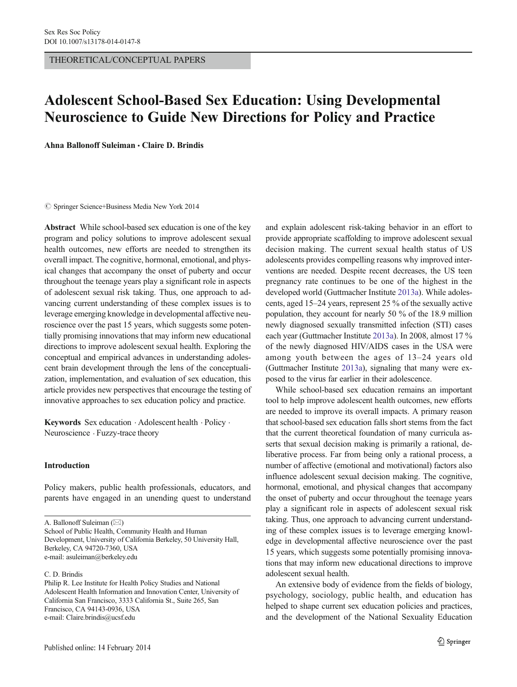THEORETICAL/CONCEPTUAL PAPERS

# Adolescent School-Based Sex Education: Using Developmental Neuroscience to Guide New Directions for Policy and Practice

Ahna Ballonoff Suleiman & Claire D. Brindis

 $\circledcirc$  Springer Science+Business Media New York 2014

Abstract While school-based sex education is one of the key program and policy solutions to improve adolescent sexual health outcomes, new efforts are needed to strengthen its overall impact. The cognitive, hormonal, emotional, and physical changes that accompany the onset of puberty and occur throughout the teenage years play a significant role in aspects of adolescent sexual risk taking. Thus, one approach to advancing current understanding of these complex issues is to leverage emerging knowledge in developmental affective neuroscience over the past 15 years, which suggests some potentially promising innovations that may inform new educational directions to improve adolescent sexual health. Exploring the conceptual and empirical advances in understanding adolescent brain development through the lens of the conceptualization, implementation, and evaluation of sex education, this article provides new perspectives that encourage the testing of innovative approaches to sex education policy and practice.

Keywords Sex education . Adolescent health . Policy . Neuroscience . Fuzzy-trace theory

#### Introduction

Policy makers, public health professionals, educators, and parents have engaged in an unending quest to understand

A. Ballonoff Suleiman ( $\boxtimes$ )

School of Public Health, Community Health and Human Development, University of California Berkeley, 50 University Hall, Berkeley, CA 94720-7360, USA e-mail: asuleiman@berkeley.edu

and explain adolescent risk-taking behavior in an effort to provide appropriate scaffolding to improve adolescent sexual decision making. The current sexual health status of US adolescents provides compelling reasons why improved interventions are needed. Despite recent decreases, the US teen pregnancy rate continues to be one of the highest in the developed world (Guttmacher Institute [2013a](#page-13-0)). While adolescents, aged 15–24 years, represent 25 % of the sexually active population, they account for nearly 50 % of the 18.9 million newly diagnosed sexually transmitted infection (STI) cases each year (Guttmacher Institute [2013a](#page-13-0)). In 2008, almost 17 % of the newly diagnosed HIV/AIDS cases in the USA were among youth between the ages of 13–24 years old (Guttmacher Institute [2013a](#page-13-0)), signaling that many were exposed to the virus far earlier in their adolescence.

While school-based sex education remains an important tool to help improve adolescent health outcomes, new efforts are needed to improve its overall impacts. A primary reason that school-based sex education falls short stems from the fact that the current theoretical foundation of many curricula asserts that sexual decision making is primarily a rational, deliberative process. Far from being only a rational process, a number of affective (emotional and motivational) factors also influence adolescent sexual decision making. The cognitive, hormonal, emotional, and physical changes that accompany the onset of puberty and occur throughout the teenage years play a significant role in aspects of adolescent sexual risk taking. Thus, one approach to advancing current understanding of these complex issues is to leverage emerging knowledge in developmental affective neuroscience over the past 15 years, which suggests some potentially promising innovations that may inform new educational directions to improve adolescent sexual health.

An extensive body of evidence from the fields of biology, psychology, sociology, public health, and education has helped to shape current sex education policies and practices, and the development of the National Sexuality Education

C. D. Brindis

Philip R. Lee Institute for Health Policy Studies and National Adolescent Health Information and Innovation Center, University of California San Francisco, 3333 California St., Suite 265, San Francisco, CA 94143-0936, USA e-mail: Claire.brindis@ucsf.edu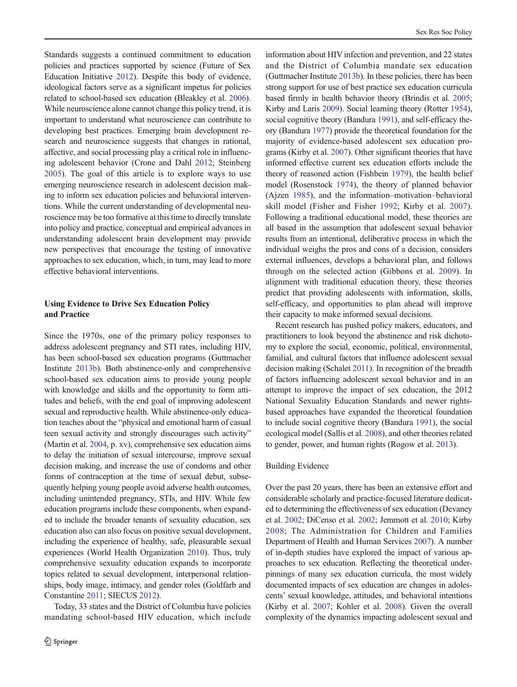Standards suggests a continued commitment to education policies and practices supported by science (Future of Sex Education Initiative [2012\)](#page-13-0). Despite this body of evidence, ideological factors serve as a significant impetus for policies related to school-based sex education (Bleakley et al. [2006\)](#page-12-0). While neuroscience alone cannot change this policy trend, it is important to understand what neuroscience can contribute to developing best practices. Emerging brain development research and neuroscience suggests that changes in rational, affective, and social processing play a critical role in influencing adolescent behavior (Crone and Dahl [2012;](#page-13-0) Steinberg [2005](#page-14-0)). The goal of this article is to explore ways to use emerging neuroscience research in adolescent decision making to inform sex education policies and behavioral interventions. While the current understanding of developmental neuroscience may be too formative at this time to directly translate into policy and practice, conceptual and empirical advances in understanding adolescent brain development may provide new perspectives that encourage the testing of innovative approaches to sex education, which, in turn, may lead to more effective behavioral interventions.

# Using Evidence to Drive Sex Education Policy and Practice

Since the 1970s, one of the primary policy responses to address adolescent pregnancy and STI rates, including HIV, has been school-based sex education programs (Guttmacher Institute [2013b\)](#page-13-0). Both abstinence-only and comprehensive school-based sex education aims to provide young people with knowledge and skills and the opportunity to form attitudes and beliefs, with the end goal of improving adolescent sexual and reproductive health. While abstinence-only education teaches about the "physical and emotional harm of casual teen sexual activity and strongly discourages such activity" (Martin et al. [2004,](#page-14-0) p. xv), comprehensive sex education aims to delay the initiation of sexual intercourse, improve sexual decision making, and increase the use of condoms and other forms of contraception at the time of sexual debut, subsequently helping young people avoid adverse health outcomes, including unintended pregnancy, STIs, and HIV. While few education programs include these components, when expanded to include the broader tenants of sexuality education, sex education also can also focus on positive sexual development, including the experience of healthy, safe, pleasurable sexual experiences (World Health Organization [2010](#page-15-0)). Thus, truly comprehensive sexuality education expands to incorporate topics related to sexual development, interpersonal relationships, body image, intimacy, and gender roles (Goldfarb and Constantine [2011](#page-13-0); SIECUS [2012](#page-14-0)).

Today, 33 states and the District of Columbia have policies mandating school-based HIV education, which include

information about HIV infection and prevention, and 22 states and the District of Columbia mandate sex education (Guttmacher Institute [2013b](#page-13-0)). In these policies, there has been strong support for use of best practice sex education curricula based firmly in health behavior theory (Brindis et al. [2005;](#page-12-0) Kirby and Laris [2009](#page-13-0)). Social learning theory (Rotter [1954\)](#page-14-0), social cognitive theory (Bandura [1991\)](#page-12-0), and self-efficacy theory (Bandura [1977\)](#page-12-0) provide the theoretical foundation for the majority of evidence-based adolescent sex education programs (Kirby et al. [2007\)](#page-13-0). Other significant theories that have informed effective current sex education efforts include the theory of reasoned action (Fishbein [1979\)](#page-13-0), the health belief model (Rosenstock [1974](#page-14-0)), the theory of planned behavior (Ajzen [1985](#page-12-0)), and the information–motivation–behavioral skill model (Fisher and Fisher [1992;](#page-13-0) Kirby et al. [2007](#page-13-0)). Following a traditional educational model, these theories are all based in the assumption that adolescent sexual behavior results from an intentional, deliberative process in which the individual weighs the pros and cons of a decision, considers external influences, develops a behavioral plan, and follows through on the selected action (Gibbons et al. [2009\)](#page-13-0). In alignment with traditional education theory, these theories predict that providing adolescents with information, skills, self-efficacy, and opportunities to plan ahead will improve their capacity to make informed sexual decisions.

Recent research has pushed policy makers, educators, and practitioners to look beyond the abstinence and risk dichotomy to explore the social, economic, political, environmental, familial, and cultural factors that influence adolescent sexual decision making (Schalet [2011\)](#page-14-0). In recognition of the breadth of factors influencing adolescent sexual behavior and in an attempt to improve the impact of sex education, the 2012 National Sexuality Education Standards and newer rightsbased approaches have expanded the theoretical foundation to include social cognitive theory (Bandura [1991\)](#page-12-0), the social ecological model (Sallis et al. [2008](#page-14-0)), and other theories related to gender, power, and human rights (Rogow et al. [2013](#page-14-0)).

#### Building Evidence

Over the past 20 years, there has been an extensive effort and considerable scholarly and practice-focused literature dedicated to determining the effectiveness of sex education (Devaney et al. [2002;](#page-13-0) DiCenso et al. [2002](#page-13-0); Jemmott et al. [2010;](#page-13-0) Kirby [2008;](#page-13-0) The Administration for Children and Families Department of Health and Human Services [2007\)](#page-14-0). A number of in-depth studies have explored the impact of various approaches to sex education. Reflecting the theoretical underpinnings of many sex education curricula, the most widely documented impacts of sex education are changes in adolescents' sexual knowledge, attitudes, and behavioral intentions (Kirby et al. [2007;](#page-13-0) Kohler et al. [2008](#page-14-0)). Given the overall complexity of the dynamics impacting adolescent sexual and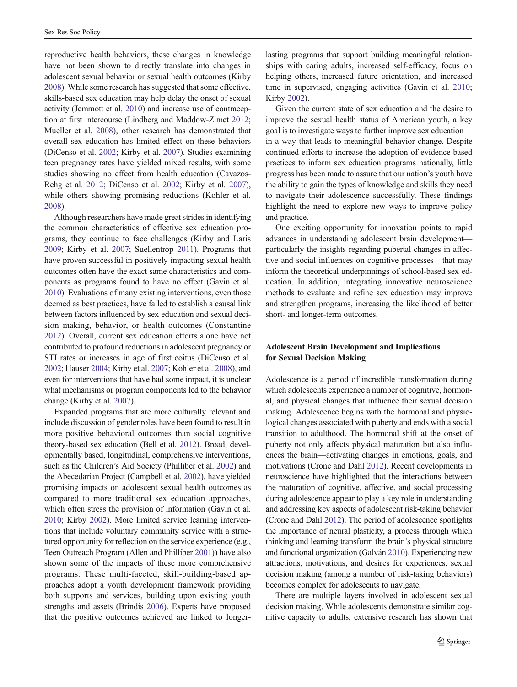reproductive health behaviors, these changes in knowledge have not been shown to directly translate into changes in adolescent sexual behavior or sexual health outcomes (Kirby [2008\)](#page-13-0). While some research has suggested that some effective, skills-based sex education may help delay the onset of sexual activity (Jemmott et al. [2010\)](#page-13-0) and increase use of contraception at first intercourse (Lindberg and Maddow-Zimet [2012](#page-14-0); Mueller et al. [2008](#page-14-0)), other research has demonstrated that overall sex education has limited effect on these behaviors (DiCenso et al. [2002;](#page-13-0) Kirby et al. [2007\)](#page-13-0). Studies examining teen pregnancy rates have yielded mixed results, with some studies showing no effect from health education (Cavazos-Rehg et al. [2012](#page-12-0); DiCenso et al. [2002;](#page-13-0) Kirby et al. [2007\)](#page-13-0), while others showing promising reductions (Kohler et al. [2008\)](#page-14-0).

Although researchers have made great strides in identifying the common characteristics of effective sex education programs, they continue to face challenges (Kirby and Laris [2009;](#page-13-0) Kirby et al. [2007;](#page-13-0) Suellentrop [2011](#page-14-0)). Programs that have proven successful in positively impacting sexual health outcomes often have the exact same characteristics and components as programs found to have no effect (Gavin et al. [2010\)](#page-13-0). Evaluations of many existing interventions, even those deemed as best practices, have failed to establish a causal link between factors influenced by sex education and sexual decision making, behavior, or health outcomes (Constantine [2012\)](#page-13-0). Overall, current sex education efforts alone have not contributed to profound reductions in adolescent pregnancy or STI rates or increases in age of first coitus (DiCenso et al. [2002;](#page-13-0) Hauser [2004](#page-13-0); Kirby et al. [2007;](#page-13-0) Kohler et al. [2008](#page-14-0)), and even for interventions that have had some impact, it is unclear what mechanisms or program components led to the behavior change (Kirby et al. [2007\)](#page-13-0).

Expanded programs that are more culturally relevant and include discussion of gender roles have been found to result in more positive behavioral outcomes than social cognitive theory-based sex education (Bell et al. [2012\)](#page-12-0). Broad, developmentally based, longitudinal, comprehensive interventions, such as the Children's Aid Society (Philliber et al. [2002](#page-14-0)) and the Abecedarian Project (Campbell et al. [2002](#page-12-0)), have yielded promising impacts on adolescent sexual health outcomes as compared to more traditional sex education approaches, which often stress the provision of information (Gavin et al. [2010;](#page-13-0) Kirby [2002\)](#page-13-0). More limited service learning interventions that include voluntary community service with a structured opportunity for reflection on the service experience (e.g., Teen Outreach Program (Allen and Philliber [2001](#page-12-0))) have also shown some of the impacts of these more comprehensive programs. These multi-faceted, skill-building-based approaches adopt a youth development framework providing both supports and services, building upon existing youth strengths and assets (Brindis [2006\)](#page-12-0). Experts have proposed that the positive outcomes achieved are linked to longerlasting programs that support building meaningful relationships with caring adults, increased self-efficacy, focus on helping others, increased future orientation, and increased time in supervised, engaging activities (Gavin et al. [2010;](#page-13-0) Kirby [2002\)](#page-13-0).

Given the current state of sex education and the desire to improve the sexual health status of American youth, a key goal is to investigate ways to further improve sex education in a way that leads to meaningful behavior change. Despite continued efforts to increase the adoption of evidence-based practices to inform sex education programs nationally, little progress has been made to assure that our nation's youth have the ability to gain the types of knowledge and skills they need to navigate their adolescence successfully. These findings highlight the need to explore new ways to improve policy and practice.

One exciting opportunity for innovation points to rapid advances in understanding adolescent brain development particularly the insights regarding pubertal changes in affective and social influences on cognitive processes—that may inform the theoretical underpinnings of school-based sex education. In addition, integrating innovative neuroscience methods to evaluate and refine sex education may improve and strengthen programs, increasing the likelihood of better short- and longer-term outcomes.

# Adolescent Brain Development and Implications for Sexual Decision Making

Adolescence is a period of incredible transformation during which adolescents experience a number of cognitive, hormonal, and physical changes that influence their sexual decision making. Adolescence begins with the hormonal and physiological changes associated with puberty and ends with a social transition to adulthood. The hormonal shift at the onset of puberty not only affects physical maturation but also influences the brain—activating changes in emotions, goals, and motivations (Crone and Dahl [2012](#page-13-0)). Recent developments in neuroscience have highlighted that the interactions between the maturation of cognitive, affective, and social processing during adolescence appear to play a key role in understanding and addressing key aspects of adolescent risk-taking behavior (Crone and Dahl [2012](#page-13-0)). The period of adolescence spotlights the importance of neural plasticity, a process through which thinking and learning transform the brain's physical structure and functional organization (Galván [2010\)](#page-13-0). Experiencing new attractions, motivations, and desires for experiences, sexual decision making (among a number of risk-taking behaviors) becomes complex for adolescents to navigate.

There are multiple layers involved in adolescent sexual decision making. While adolescents demonstrate similar cognitive capacity to adults, extensive research has shown that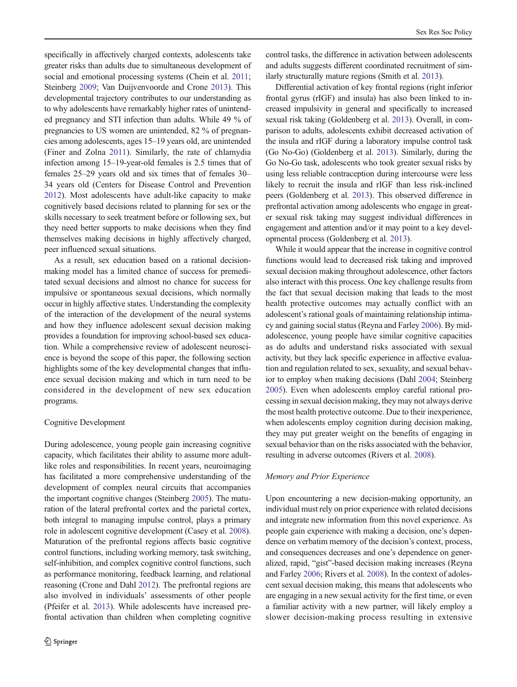specifically in affectively charged contexts, adolescents take greater risks than adults due to simultaneous development of social and emotional processing systems (Chein et al. [2011](#page-13-0); Steinberg [2009](#page-14-0); Van Duijvenvoorde and Crone [2013\)](#page-15-0). This developmental trajectory contributes to our understanding as to why adolescents have remarkably higher rates of unintended pregnancy and STI infection than adults. While 49 % of pregnancies to US women are unintended, 82 % of pregnancies among adolescents, ages 15–19 years old, are unintended (Finer and Zolna [2011\)](#page-13-0). Similarly, the rate of chlamydia infection among 15–19-year-old females is 2.5 times that of females 25–29 years old and six times that of females 30– 34 years old (Centers for Disease Control and Prevention [2012\)](#page-12-0). Most adolescents have adult-like capacity to make cognitively based decisions related to planning for sex or the skills necessary to seek treatment before or following sex, but they need better supports to make decisions when they find themselves making decisions in highly affectively charged, peer influenced sexual situations.

As a result, sex education based on a rational decisionmaking model has a limited chance of success for premeditated sexual decisions and almost no chance for success for impulsive or spontaneous sexual decisions, which normally occur in highly affective states. Understanding the complexity of the interaction of the development of the neural systems and how they influence adolescent sexual decision making provides a foundation for improving school-based sex education. While a comprehensive review of adolescent neuroscience is beyond the scope of this paper, the following section highlights some of the key developmental changes that influence sexual decision making and which in turn need to be considered in the development of new sex education programs.

#### Cognitive Development

During adolescence, young people gain increasing cognitive capacity, which facilitates their ability to assume more adultlike roles and responsibilities. In recent years, neuroimaging has facilitated a more comprehensive understanding of the development of complex neural circuits that accompanies the important cognitive changes (Steinberg [2005](#page-14-0)). The maturation of the lateral prefrontal cortex and the parietal cortex, both integral to managing impulse control, plays a primary role in adolescent cognitive development (Casey et al. [2008\)](#page-12-0). Maturation of the prefrontal regions affects basic cognitive control functions, including working memory, task switching, self-inhibition, and complex cognitive control functions, such as performance monitoring, feedback learning, and relational reasoning (Crone and Dahl [2012](#page-13-0)). The prefrontal regions are also involved in individuals' assessments of other people (Pfeifer et al. [2013\)](#page-14-0). While adolescents have increased prefrontal activation than children when completing cognitive

control tasks, the difference in activation between adolescents and adults suggests different coordinated recruitment of similarly structurally mature regions (Smith et al. [2013\)](#page-14-0).

Differential activation of key frontal regions (right inferior frontal gyrus (rIGF) and insula) has also been linked to increased impulsivity in general and specifically to increased sexual risk taking (Goldenberg et al. [2013](#page-13-0)). Overall, in comparison to adults, adolescents exhibit decreased activation of the insula and rIGF during a laboratory impulse control task (Go No-Go) (Goldenberg et al. [2013\)](#page-13-0). Similarly, during the Go No-Go task, adolescents who took greater sexual risks by using less reliable contraception during intercourse were less likely to recruit the insula and rIGF than less risk-inclined peers (Goldenberg et al. [2013\)](#page-13-0). This observed difference in prefrontal activation among adolescents who engage in greater sexual risk taking may suggest individual differences in engagement and attention and/or it may point to a key developmental process (Goldenberg et al. [2013](#page-13-0)).

While it would appear that the increase in cognitive control functions would lead to decreased risk taking and improved sexual decision making throughout adolescence, other factors also interact with this process. One key challenge results from the fact that sexual decision making that leads to the most health protective outcomes may actually conflict with an adolescent's rational goals of maintaining relationship intimacy and gaining social status (Reyna and Farley [2006\)](#page-14-0). By midadolescence, young people have similar cognitive capacities as do adults and understand risks associated with sexual activity, but they lack specific experience in affective evaluation and regulation related to sex, sexuality, and sexual behavior to employ when making decisions (Dahl [2004;](#page-13-0) Steinberg [2005\)](#page-14-0). Even when adolescents employ careful rational processing in sexual decision making, they may not always derive the most health protective outcome. Due to their inexperience, when adolescents employ cognition during decision making, they may put greater weight on the benefits of engaging in sexual behavior than on the risks associated with the behavior, resulting in adverse outcomes (Rivers et al. [2008\)](#page-14-0).

## Memory and Prior Experience

Upon encountering a new decision-making opportunity, an individual must rely on prior experience with related decisions and integrate new information from this novel experience. As people gain experience with making a decision, one's dependence on verbatim memory of the decision's context, process, and consequences decreases and one's dependence on generalized, rapid, "gist"-based decision making increases (Reyna and Farley [2006](#page-14-0); Rivers et al. [2008](#page-14-0)). In the context of adolescent sexual decision making, this means that adolescents who are engaging in a new sexual activity for the first time, or even a familiar activity with a new partner, will likely employ a slower decision-making process resulting in extensive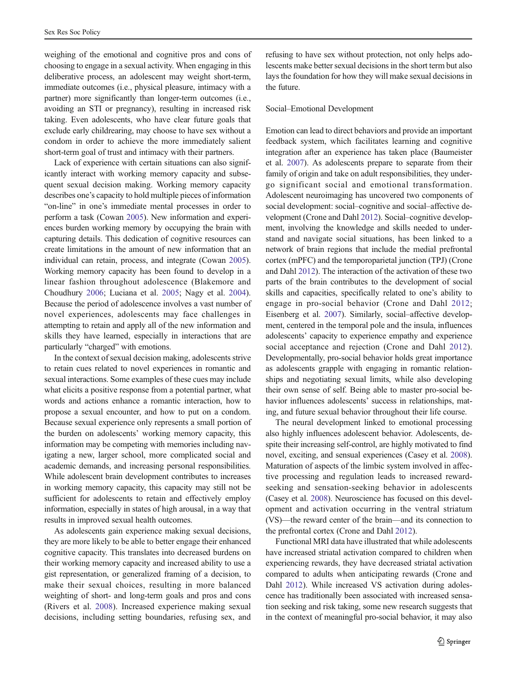weighing of the emotional and cognitive pros and cons of choosing to engage in a sexual activity. When engaging in this deliberative process, an adolescent may weight short-term, immediate outcomes (i.e., physical pleasure, intimacy with a partner) more significantly than longer-term outcomes (i.e., avoiding an STI or pregnancy), resulting in increased risk taking. Even adolescents, who have clear future goals that exclude early childrearing, may choose to have sex without a condom in order to achieve the more immediately salient short-term goal of trust and intimacy with their partners.

Lack of experience with certain situations can also significantly interact with working memory capacity and subsequent sexual decision making. Working memory capacity describes one's capacity to hold multiple pieces of information "on-line" in one's immediate mental processes in order to perform a task (Cowan [2005](#page-13-0)). New information and experiences burden working memory by occupying the brain with capturing details. This dedication of cognitive resources can create limitations in the amount of new information that an individual can retain, process, and integrate (Cowan [2005\)](#page-13-0). Working memory capacity has been found to develop in a linear fashion throughout adolescence (Blakemore and Choudhury [2006](#page-12-0); Luciana et al. [2005](#page-14-0); Nagy et al. [2004](#page-14-0)). Because the period of adolescence involves a vast number of novel experiences, adolescents may face challenges in attempting to retain and apply all of the new information and skills they have learned, especially in interactions that are particularly "charged" with emotions.

In the context of sexual decision making, adolescents strive to retain cues related to novel experiences in romantic and sexual interactions. Some examples of these cues may include what elicits a positive response from a potential partner, what words and actions enhance a romantic interaction, how to propose a sexual encounter, and how to put on a condom. Because sexual experience only represents a small portion of the burden on adolescents' working memory capacity, this information may be competing with memories including navigating a new, larger school, more complicated social and academic demands, and increasing personal responsibilities. While adolescent brain development contributes to increases in working memory capacity, this capacity may still not be sufficient for adolescents to retain and effectively employ information, especially in states of high arousal, in a way that results in improved sexual health outcomes.

As adolescents gain experience making sexual decisions, they are more likely to be able to better engage their enhanced cognitive capacity. This translates into decreased burdens on their working memory capacity and increased ability to use a gist representation, or generalized framing of a decision, to make their sexual choices, resulting in more balanced weighting of short- and long-term goals and pros and cons (Rivers et al. [2008\)](#page-14-0). Increased experience making sexual decisions, including setting boundaries, refusing sex, and refusing to have sex without protection, not only helps adolescents make better sexual decisions in the short term but also lays the foundation for how they will make sexual decisions in the future.

#### Social–Emotional Development

Emotion can lead to direct behaviors and provide an important feedback system, which facilitates learning and cognitive integration after an experience has taken place (Baumeister et al. [2007](#page-12-0)). As adolescents prepare to separate from their family of origin and take on adult responsibilities, they undergo significant social and emotional transformation. Adolescent neuroimaging has uncovered two components of social development: social–cognitive and social–affective development (Crone and Dahl [2012](#page-13-0)). Social–cognitive development, involving the knowledge and skills needed to understand and navigate social situations, has been linked to a network of brain regions that include the medial prefrontal cortex (mPFC) and the temporoparietal junction (TPJ) (Crone and Dahl [2012](#page-13-0)). The interaction of the activation of these two parts of the brain contributes to the development of social skills and capacities, specifically related to one's ability to engage in pro-social behavior (Crone and Dahl [2012;](#page-13-0) Eisenberg et al. [2007](#page-13-0)). Similarly, social–affective development, centered in the temporal pole and the insula, influences adolescents' capacity to experience empathy and experience social acceptance and rejection (Crone and Dahl [2012](#page-13-0)). Developmentally, pro-social behavior holds great importance as adolescents grapple with engaging in romantic relationships and negotiating sexual limits, while also developing their own sense of self. Being able to master pro-social behavior influences adolescents' success in relationships, mating, and future sexual behavior throughout their life course.

The neural development linked to emotional processing also highly influences adolescent behavior. Adolescents, despite their increasing self-control, are highly motivated to find novel, exciting, and sensual experiences (Casey et al. [2008\)](#page-12-0). Maturation of aspects of the limbic system involved in affective processing and regulation leads to increased rewardseeking and sensation-seeking behavior in adolescents (Casey et al. [2008\)](#page-12-0). Neuroscience has focused on this development and activation occurring in the ventral striatum (VS)—the reward center of the brain—and its connection to the prefrontal cortex (Crone and Dahl [2012](#page-13-0)).

Functional MRI data have illustrated that while adolescents have increased striatal activation compared to children when experiencing rewards, they have decreased striatal activation compared to adults when anticipating rewards (Crone and Dahl [2012\)](#page-13-0). While increased VS activation during adolescence has traditionally been associated with increased sensation seeking and risk taking, some new research suggests that in the context of meaningful pro-social behavior, it may also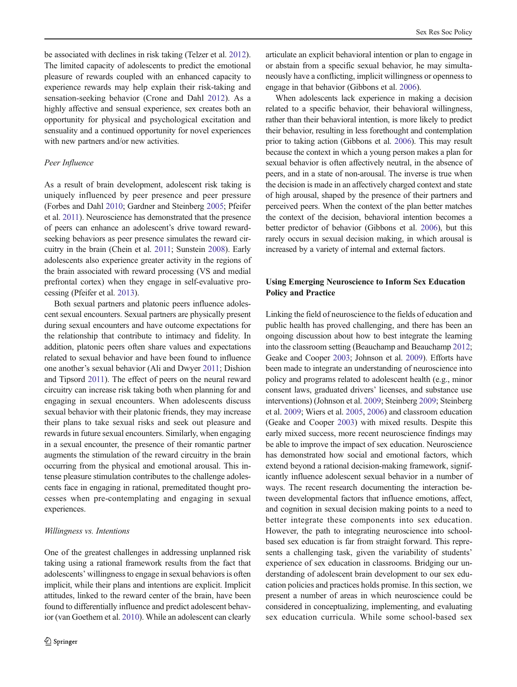be associated with declines in risk taking (Telzer et al. [2012\)](#page-14-0). The limited capacity of adolescents to predict the emotional pleasure of rewards coupled with an enhanced capacity to experience rewards may help explain their risk-taking and sensation-seeking behavior (Crone and Dahl [2012](#page-13-0)). As a highly affective and sensual experience, sex creates both an opportunity for physical and psychological excitation and sensuality and a continued opportunity for novel experiences with new partners and/or new activities.

# Peer Influence

As a result of brain development, adolescent risk taking is uniquely influenced by peer presence and peer pressure (Forbes and Dahl [2010;](#page-13-0) Gardner and Steinberg [2005;](#page-13-0) Pfeifer et al. [2011](#page-14-0)). Neuroscience has demonstrated that the presence of peers can enhance an adolescent's drive toward rewardseeking behaviors as peer presence simulates the reward circuitry in the brain (Chein et al. [2011](#page-13-0); Sunstein [2008](#page-14-0)). Early adolescents also experience greater activity in the regions of the brain associated with reward processing (VS and medial prefrontal cortex) when they engage in self-evaluative processing (Pfeifer et al. [2013\)](#page-14-0).

Both sexual partners and platonic peers influence adolescent sexual encounters. Sexual partners are physically present during sexual encounters and have outcome expectations for the relationship that contribute to intimacy and fidelity. In addition, platonic peers often share values and expectations related to sexual behavior and have been found to influence one another's sexual behavior (Ali and Dwyer [2011](#page-12-0); Dishion and Tipsord [2011\)](#page-13-0). The effect of peers on the neural reward circuitry can increase risk taking both when planning for and engaging in sexual encounters. When adolescents discuss sexual behavior with their platonic friends, they may increase their plans to take sexual risks and seek out pleasure and rewards in future sexual encounters. Similarly, when engaging in a sexual encounter, the presence of their romantic partner augments the stimulation of the reward circuitry in the brain occurring from the physical and emotional arousal. This intense pleasure stimulation contributes to the challenge adolescents face in engaging in rational, premeditated thought processes when pre-contemplating and engaging in sexual experiences.

## Willingness vs. Intentions

One of the greatest challenges in addressing unplanned risk taking using a rational framework results from the fact that adolescents' willingness to engage in sexual behaviors is often implicit, while their plans and intentions are explicit. Implicit attitudes, linked to the reward center of the brain, have been found to differentially influence and predict adolescent behavior (van Goethem et al. [2010](#page-15-0)). While an adolescent can clearly

articulate an explicit behavioral intention or plan to engage in or abstain from a specific sexual behavior, he may simultaneously have a conflicting, implicit willingness or openness to engage in that behavior (Gibbons et al. [2006\)](#page-13-0).

When adolescents lack experience in making a decision related to a specific behavior, their behavioral willingness, rather than their behavioral intention, is more likely to predict their behavior, resulting in less forethought and contemplation prior to taking action (Gibbons et al. [2006\)](#page-13-0). This may result because the context in which a young person makes a plan for sexual behavior is often affectively neutral, in the absence of peers, and in a state of non-arousal. The inverse is true when the decision is made in an affectively charged context and state of high arousal, shaped by the presence of their partners and perceived peers. When the context of the plan better matches the context of the decision, behavioral intention becomes a better predictor of behavior (Gibbons et al. [2006](#page-13-0)), but this rarely occurs in sexual decision making, in which arousal is increased by a variety of internal and external factors.

# Using Emerging Neuroscience to Inform Sex Education Policy and Practice

Linking the field of neuroscience to the fields of education and public health has proved challenging, and there has been an ongoing discussion about how to best integrate the learning into the classroom setting (Beauchamp and Beauchamp [2012;](#page-12-0) Geake and Cooper [2003](#page-13-0); Johnson et al. [2009](#page-13-0)). Efforts have been made to integrate an understanding of neuroscience into policy and programs related to adolescent health (e.g., minor consent laws, graduated drivers' licenses, and substance use interventions) (Johnson et al. [2009](#page-13-0); Steinberg [2009;](#page-14-0) Steinberg et al. [2009;](#page-14-0) Wiers et al. [2005](#page-15-0), [2006\)](#page-15-0) and classroom education (Geake and Cooper [2003\)](#page-13-0) with mixed results. Despite this early mixed success, more recent neuroscience findings may be able to improve the impact of sex education. Neuroscience has demonstrated how social and emotional factors, which extend beyond a rational decision-making framework, significantly influence adolescent sexual behavior in a number of ways. The recent research documenting the interaction between developmental factors that influence emotions, affect, and cognition in sexual decision making points to a need to better integrate these components into sex education. However, the path to integrating neuroscience into schoolbased sex education is far from straight forward. This represents a challenging task, given the variability of students' experience of sex education in classrooms. Bridging our understanding of adolescent brain development to our sex education policies and practices holds promise. In this section, we present a number of areas in which neuroscience could be considered in conceptualizing, implementing, and evaluating sex education curricula. While some school-based sex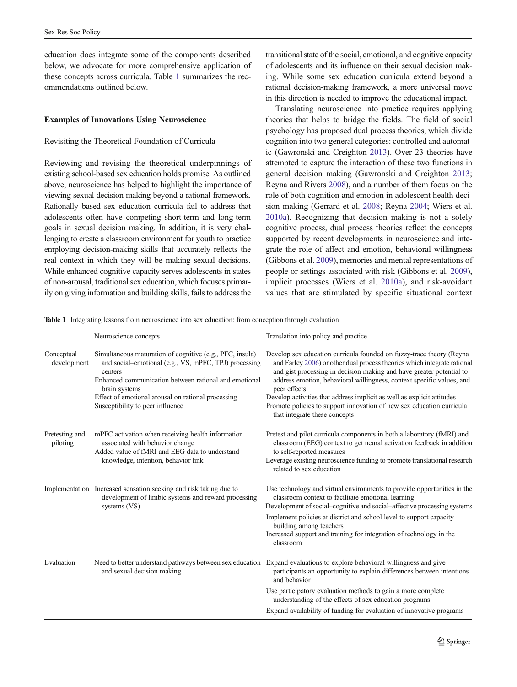education does integrate some of the components described below, we advocate for more comprehensive application of these concepts across curricula. Table 1 summarizes the recommendations outlined below.

## Examples of Innovations Using Neuroscience

### Revisiting the Theoretical Foundation of Curricula

Reviewing and revising the theoretical underpinnings of existing school-based sex education holds promise. As outlined above, neuroscience has helped to highlight the importance of viewing sexual decision making beyond a rational framework. Rationally based sex education curricula fail to address that adolescents often have competing short-term and long-term goals in sexual decision making. In addition, it is very challenging to create a classroom environment for youth to practice employing decision-making skills that accurately reflects the real context in which they will be making sexual decisions. While enhanced cognitive capacity serves adolescents in states of non-arousal, traditional sex education, which focuses primarily on giving information and building skills, fails to address the

transitional state of the social, emotional, and cognitive capacity of adolescents and its influence on their sexual decision making. While some sex education curricula extend beyond a rational decision-making framework, a more universal move in this direction is needed to improve the educational impact.

Translating neuroscience into practice requires applying theories that helps to bridge the fields. The field of social psychology has proposed dual process theories, which divide cognition into two general categories: controlled and automatic (Gawronski and Creighton [2013\)](#page-13-0). Over 23 theories have attempted to capture the interaction of these two functions in general decision making (Gawronski and Creighton [2013;](#page-13-0) Reyna and Rivers [2008](#page-14-0)), and a number of them focus on the role of both cognition and emotion in adolescent health decision making (Gerrard et al. [2008;](#page-13-0) Reyna [2004](#page-14-0); Wiers et al. [2010a](#page-15-0)). Recognizing that decision making is not a solely cognitive process, dual process theories reflect the concepts supported by recent developments in neuroscience and integrate the role of affect and emotion, behavioral willingness (Gibbons et al. [2009\)](#page-13-0), memories and mental representations of people or settings associated with risk (Gibbons et al. [2009\)](#page-13-0), implicit processes (Wiers et al. [2010a](#page-15-0)), and risk-avoidant values that are stimulated by specific situational context

Table 1 Integrating lessons from neuroscience into sex education: from conception through evaluation

|                            | Neuroscience concepts                                                                                                                                                                                                                                                                            | Translation into policy and practice                                                                                                                                                                                                                                                                                                                                                                                                                                                                   |
|----------------------------|--------------------------------------------------------------------------------------------------------------------------------------------------------------------------------------------------------------------------------------------------------------------------------------------------|--------------------------------------------------------------------------------------------------------------------------------------------------------------------------------------------------------------------------------------------------------------------------------------------------------------------------------------------------------------------------------------------------------------------------------------------------------------------------------------------------------|
| Conceptual<br>development  | Simultaneous maturation of cognitive (e.g., PFC, insula)<br>and social-emotional (e.g., VS, mPFC, TPJ) processing<br>centers<br>Enhanced communication between rational and emotional<br>brain systems<br>Effect of emotional arousal on rational processing<br>Susceptibility to peer influence | Develop sex education curricula founded on fuzzy-trace theory (Reyna)<br>and Farley 2006) or other dual process theories which integrate rational<br>and gist processing in decision making and have greater potential to<br>address emotion, behavioral willingness, context specific values, and<br>peer effects<br>Develop activities that address implicit as well as explicit attitudes<br>Promote policies to support innovation of new sex education curricula<br>that integrate these concepts |
| Pretesting and<br>piloting | mPFC activation when receiving health information<br>associated with behavior change<br>Added value of fMRI and EEG data to understand<br>knowledge, intention, behavior link                                                                                                                    | Pretest and pilot curricula components in both a laboratory (fMRI) and<br>classroom (EEG) context to get neural activation feedback in addition<br>to self-reported measures<br>Leverage existing neuroscience funding to promote translational research<br>related to sex education                                                                                                                                                                                                                   |
|                            | Implementation Increased sensation seeking and risk taking due to<br>development of limbic systems and reward processing<br>systems (VS)                                                                                                                                                         | Use technology and virtual environments to provide opportunities in the<br>classroom context to facilitate emotional learning<br>Development of social-cognitive and social-affective processing systems<br>Implement policies at district and school level to support capacity<br>building among teachers<br>Increased support and training for integration of technology in the<br>classroom                                                                                                         |
| Evaluation                 | and sexual decision making                                                                                                                                                                                                                                                                       | Need to better understand pathways between sex education Expand evaluations to explore behavioral willingness and give<br>participants an opportunity to explain differences between intentions<br>and behavior<br>Use participatory evaluation methods to gain a more complete<br>understanding of the effects of sex education programs<br>Expand availability of funding for evaluation of innovative programs                                                                                      |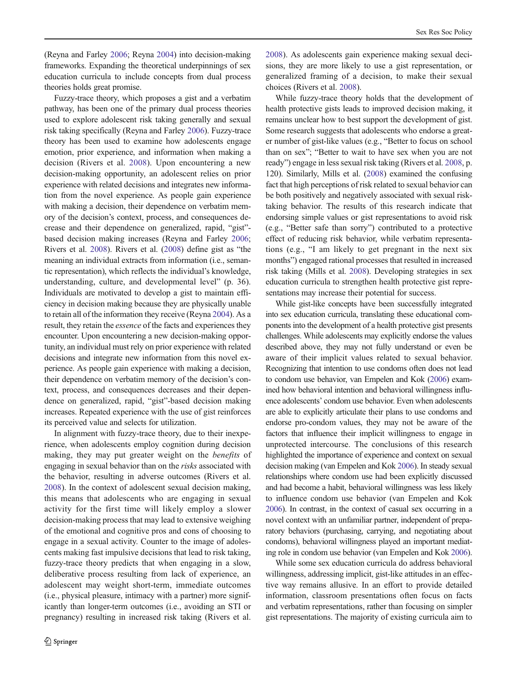(Reyna and Farley [2006;](#page-14-0) Reyna [2004](#page-14-0)) into decision-making frameworks. Expanding the theoretical underpinnings of sex education curricula to include concepts from dual process theories holds great promise.

Fuzzy-trace theory, which proposes a gist and a verbatim pathway, has been one of the primary dual process theories used to explore adolescent risk taking generally and sexual risk taking specifically (Reyna and Farley [2006\)](#page-14-0). Fuzzy-trace theory has been used to examine how adolescents engage emotion, prior experience, and information when making a decision (Rivers et al. [2008](#page-14-0)). Upon encountering a new decision-making opportunity, an adolescent relies on prior experience with related decisions and integrates new information from the novel experience. As people gain experience with making a decision, their dependence on verbatim memory of the decision's context, process, and consequences decrease and their dependence on generalized, rapid, "gist" based decision making increases (Reyna and Farley [2006](#page-14-0); Rivers et al. [2008\)](#page-14-0). Rivers et al. [\(2008\)](#page-14-0) define gist as "the meaning an individual extracts from information (i.e., semantic representation), which reflects the individual's knowledge, understanding, culture, and developmental level" (p. 36). Individuals are motivated to develop a gist to maintain efficiency in decision making because they are physically unable to retain all of the information they receive (Reyna [2004\)](#page-14-0). As a result, they retain the essence of the facts and experiences they encounter. Upon encountering a new decision-making opportunity, an individual must rely on prior experience with related decisions and integrate new information from this novel experience. As people gain experience with making a decision, their dependence on verbatim memory of the decision's context, process, and consequences decreases and their dependence on generalized, rapid, "gist"-based decision making increases. Repeated experience with the use of gist reinforces its perceived value and selects for utilization.

In alignment with fuzzy-trace theory, due to their inexperience, when adolescents employ cognition during decision making, they may put greater weight on the benefits of engaging in sexual behavior than on the risks associated with the behavior, resulting in adverse outcomes (Rivers et al. [2008\)](#page-14-0). In the context of adolescent sexual decision making, this means that adolescents who are engaging in sexual activity for the first time will likely employ a slower decision-making process that may lead to extensive weighing of the emotional and cognitive pros and cons of choosing to engage in a sexual activity. Counter to the image of adolescents making fast impulsive decisions that lead to risk taking, fuzzy-trace theory predicts that when engaging in a slow, deliberative process resulting from lack of experience, an adolescent may weight short-term, immediate outcomes (i.e., physical pleasure, intimacy with a partner) more significantly than longer-term outcomes (i.e., avoiding an STI or pregnancy) resulting in increased risk taking (Rivers et al.

[2008\)](#page-14-0). As adolescents gain experience making sexual decisions, they are more likely to use a gist representation, or generalized framing of a decision, to make their sexual choices (Rivers et al. [2008](#page-14-0)).

While fuzzy-trace theory holds that the development of health protective gists leads to improved decision making, it remains unclear how to best support the development of gist. Some research suggests that adolescents who endorse a greater number of gist-like values (e.g., "Better to focus on school than on sex"; "Better to wait to have sex when you are not ready") engage in less sexual risk taking (Rivers et al. [2008](#page-14-0), p. 120). Similarly, Mills et al. [\(2008\)](#page-14-0) examined the confusing fact that high perceptions of risk related to sexual behavior can be both positively and negatively associated with sexual risktaking behavior. The results of this research indicate that endorsing simple values or gist representations to avoid risk (e.g., "Better safe than sorry") contributed to a protective effect of reducing risk behavior, while verbatim representations (e.g., "I am likely to get pregnant in the next six months") engaged rational processes that resulted in increased risk taking (Mills et al. [2008](#page-14-0)). Developing strategies in sex education curricula to strengthen health protective gist representations may increase their potential for success.

While gist-like concepts have been successfully integrated into sex education curricula, translating these educational components into the development of a health protective gist presents challenges. While adolescents may explicitly endorse the values described above, they may not fully understand or even be aware of their implicit values related to sexual behavior. Recognizing that intention to use condoms often does not lead to condom use behavior, van Empelen and Kok ([2006\)](#page-15-0) examined how behavioral intention and behavioral willingness influence adolescents' condom use behavior. Even when adolescents are able to explicitly articulate their plans to use condoms and endorse pro-condom values, they may not be aware of the factors that influence their implicit willingness to engage in unprotected intercourse. The conclusions of this research highlighted the importance of experience and context on sexual decision making (van Empelen and Kok [2006](#page-15-0)). In steady sexual relationships where condom use had been explicitly discussed and had become a habit, behavioral willingness was less likely to influence condom use behavior (van Empelen and Kok [2006](#page-15-0)). In contrast, in the context of casual sex occurring in a novel context with an unfamiliar partner, independent of preparatory behaviors (purchasing, carrying, and negotiating about condoms), behavioral willingness played an important mediating role in condom use behavior (van Empelen and Kok [2006\)](#page-15-0).

While some sex education curricula do address behavioral willingness, addressing implicit, gist-like attitudes in an effective way remains allusive. In an effort to provide detailed information, classroom presentations often focus on facts and verbatim representations, rather than focusing on simpler gist representations. The majority of existing curricula aim to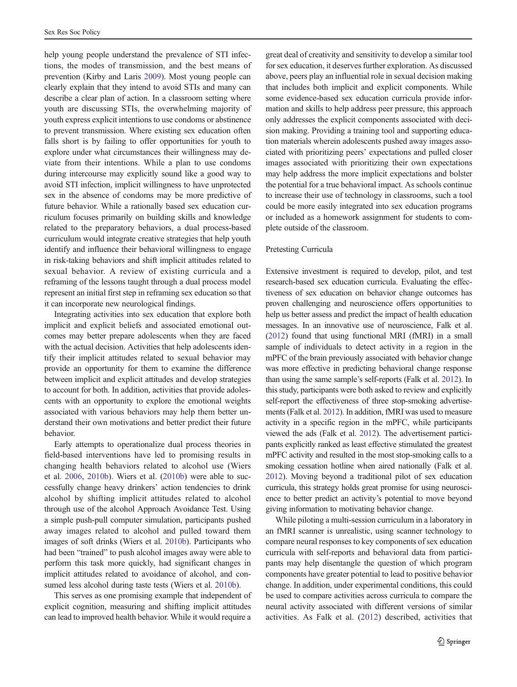help young people understand the prevalence of STI infections, the modes of transmission, and the best means of prevention (Kirby and Laris [2009\)](#page-13-0). Most young people can clearly explain that they intend to avoid STIs and many can describe a clear plan of action. In a classroom setting where youth are discussing STIs, the overwhelming majority of youth express explicit intentions to use condoms or abstinence to prevent transmission. Where existing sex education often falls short is by failing to offer opportunities for youth to explore under what circumstances their willingness may deviate from their intentions. While a plan to use condoms during intercourse may explicitly sound like a good way to avoid STI infection, implicit willingness to have unprotected sex in the absence of condoms may be more predictive of future behavior. While a rationally based sex education curriculum focuses primarily on building skills and knowledge related to the preparatory behaviors, a dual process-based curriculum would integrate creative strategies that help youth identify and influence their behavioral willingness to engage in risk-taking behaviors and shift implicit attitudes related to sexual behavior. A review of existing curricula and a reframing of the lessons taught through a dual process model represent an initial first step in reframing sex education so that it can incorporate new neurological findings.

Integrating activities into sex education that explore both implicit and explicit beliefs and associated emotional outcomes may better prepare adolescents when they are faced with the actual decision. Activities that help adolescents identify their implicit attitudes related to sexual behavior may provide an opportunity for them to examine the difference between implicit and explicit attitudes and develop strategies to account for both. In addition, activities that provide adolescents with an opportunity to explore the emotional weights associated with various behaviors may help them better understand their own motivations and better predict their future behavior.

Early attempts to operationalize dual process theories in field-based interventions have led to promising results in changing health behaviors related to alcohol use (Wiers et al. [2006](#page-15-0), [2010b](#page-15-0)). Wiers et al. ([2010b](#page-15-0)) were able to successfully change heavy drinkers' action tendencies to drink alcohol by shifting implicit attitudes related to alcohol through use of the alcohol Approach Avoidance Test. Using a simple push-pull computer simulation, participants pushed away images related to alcohol and pulled toward them images of soft drinks (Wiers et al. [2010b\)](#page-15-0). Participants who had been "trained" to push alcohol images away were able to perform this task more quickly, had significant changes in implicit attitudes related to avoidance of alcohol, and consumed less alcohol during taste tests (Wiers et al. [2010b](#page-15-0)).

This serves as one promising example that independent of explicit cognition, measuring and shifting implicit attitudes can lead to improved health behavior. While it would require a

great deal of creativity and sensitivity to develop a similar tool for sex education, it deserves further exploration. As discussed above, peers play an influential role in sexual decision making that includes both implicit and explicit components. While some evidence-based sex education curricula provide information and skills to help address peer pressure, this approach only addresses the explicit components associated with decision making. Providing a training tool and supporting education materials wherein adolescents pushed away images associated with prioritizing peers' expectations and pulled closer images associated with prioritizing their own expectations may help address the more implicit expectations and bolster the potential for a true behavioral impact. As schools continue to increase their use of technology in classrooms, such a tool could be more easily integrated into sex education programs or included as a homework assignment for students to complete outside of the classroom.

#### Pretesting Curricula

Extensive investment is required to develop, pilot, and test research-based sex education curricula. Evaluating the effectiveness of sex education on behavior change outcomes has proven challenging and neuroscience offers opportunities to help us better assess and predict the impact of health education messages. In an innovative use of neuroscience, Falk et al. [\(2012\)](#page-13-0) found that using functional MRI (fMRI) in a small sample of individuals to detect activity in a region in the mPFC of the brain previously associated with behavior change was more effective in predicting behavioral change response than using the same sample's self-reports (Falk et al. [2012](#page-13-0)). In this study, participants were both asked to review and explicitly self-report the effectiveness of three stop-smoking advertisements (Falk et al. [2012](#page-13-0)). In addition, fMRI was used to measure activity in a specific region in the mPFC, while participants viewed the ads (Falk et al. [2012\)](#page-13-0). The advertisement participants explicitly ranked as least effective stimulated the greatest mPFC activity and resulted in the most stop-smoking calls to a smoking cessation hotline when aired nationally (Falk et al. [2012\)](#page-13-0). Moving beyond a traditional pilot of sex education curricula, this strategy holds great promise for using neuroscience to better predict an activity's potential to move beyond giving information to motivating behavior change.

While piloting a multi-session curriculum in a laboratory in an fMRI scanner is unrealistic, using scanner technology to compare neural responses to key components of sex education curricula with self-reports and behavioral data from participants may help disentangle the question of which program components have greater potential to lead to positive behavior change. In addition, under experimental conditions, this could be used to compare activities across curricula to compare the neural activity associated with different versions of similar activities. As Falk et al. ([2012\)](#page-13-0) described, activities that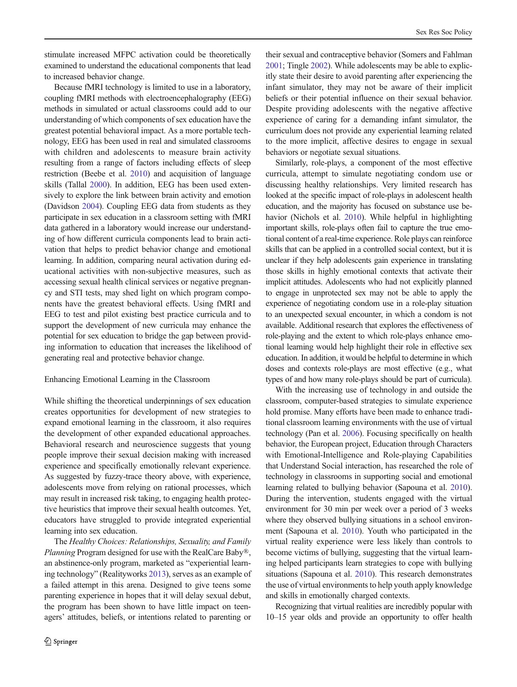stimulate increased MFPC activation could be theoretically examined to understand the educational components that lead to increased behavior change.

Because fMRI technology is limited to use in a laboratory, coupling fMRI methods with electroencephalography (EEG) methods in simulated or actual classrooms could add to our understanding of which components of sex education have the greatest potential behavioral impact. As a more portable technology, EEG has been used in real and simulated classrooms with children and adolescents to measure brain activity resulting from a range of factors including effects of sleep restriction (Beebe et al. [2010\)](#page-12-0) and acquisition of language skills (Tallal [2000](#page-14-0)). In addition, EEG has been used extensively to explore the link between brain activity and emotion (Davidson [2004](#page-13-0)). Coupling EEG data from students as they participate in sex education in a classroom setting with fMRI data gathered in a laboratory would increase our understanding of how different curricula components lead to brain activation that helps to predict behavior change and emotional learning. In addition, comparing neural activation during educational activities with non-subjective measures, such as accessing sexual health clinical services or negative pregnancy and STI tests, may shed light on which program components have the greatest behavioral effects. Using fMRI and EEG to test and pilot existing best practice curricula and to support the development of new curricula may enhance the potential for sex education to bridge the gap between providing information to education that increases the likelihood of generating real and protective behavior change.

#### Enhancing Emotional Learning in the Classroom

While shifting the theoretical underpinnings of sex education creates opportunities for development of new strategies to expand emotional learning in the classroom, it also requires the development of other expanded educational approaches. Behavioral research and neuroscience suggests that young people improve their sexual decision making with increased experience and specifically emotionally relevant experience. As suggested by fuzzy-trace theory above, with experience, adolescents move from relying on rational processes, which may result in increased risk taking, to engaging health protective heuristics that improve their sexual health outcomes. Yet, educators have struggled to provide integrated experiential learning into sex education.

The Healthy Choices: Relationships, Sexuality, and Family Planning Program designed for use with the RealCare Baby®, an abstinence-only program, marketed as "experiential learning technology" (Realityworks [2013](#page-14-0)), serves as an example of a failed attempt in this arena. Designed to give teens some parenting experience in hopes that it will delay sexual debut, the program has been shown to have little impact on teenagers' attitudes, beliefs, or intentions related to parenting or

their sexual and contraceptive behavior (Somers and Fahlman [2001;](#page-14-0) Tingle [2002\)](#page-14-0). While adolescents may be able to explicitly state their desire to avoid parenting after experiencing the infant simulator, they may not be aware of their implicit beliefs or their potential influence on their sexual behavior. Despite providing adolescents with the negative affective experience of caring for a demanding infant simulator, the curriculum does not provide any experiential learning related to the more implicit, affective desires to engage in sexual behaviors or negotiate sexual situations.

Similarly, role-plays, a component of the most effective curricula, attempt to simulate negotiating condom use or discussing healthy relationships. Very limited research has looked at the specific impact of role-plays in adolescent health education, and the majority has focused on substance use behavior (Nichols et al. [2010](#page-14-0)). While helpful in highlighting important skills, role-plays often fail to capture the true emotional content of a real-time experience. Role plays can reinforce skills that can be applied in a controlled social context, but it is unclear if they help adolescents gain experience in translating those skills in highly emotional contexts that activate their implicit attitudes. Adolescents who had not explicitly planned to engage in unprotected sex may not be able to apply the experience of negotiating condom use in a role-play situation to an unexpected sexual encounter, in which a condom is not available. Additional research that explores the effectiveness of role-playing and the extent to which role-plays enhance emotional learning would help highlight their role in effective sex education. In addition, it would be helpful to determine in which doses and contexts role-plays are most effective (e.g., what types of and how many role-plays should be part of curricula).

With the increasing use of technology in and outside the classroom, computer-based strategies to simulate experience hold promise. Many efforts have been made to enhance traditional classroom learning environments with the use of virtual technology (Pan et al. [2006](#page-14-0)). Focusing specifically on health behavior, the European project, Education through Characters with Emotional-Intelligence and Role-playing Capabilities that Understand Social interaction, has researched the role of technology in classrooms in supporting social and emotional learning related to bullying behavior (Sapouna et al. [2010\)](#page-14-0). During the intervention, students engaged with the virtual environment for 30 min per week over a period of 3 weeks where they observed bullying situations in a school environment (Sapouna et al. [2010\)](#page-14-0). Youth who participated in the virtual reality experience were less likely than controls to become victims of bullying, suggesting that the virtual learning helped participants learn strategies to cope with bullying situations (Sapouna et al. [2010\)](#page-14-0). This research demonstrates the use of virtual environments to help youth apply knowledge and skills in emotionally charged contexts.

Recognizing that virtual realities are incredibly popular with 10–15 year olds and provide an opportunity to offer health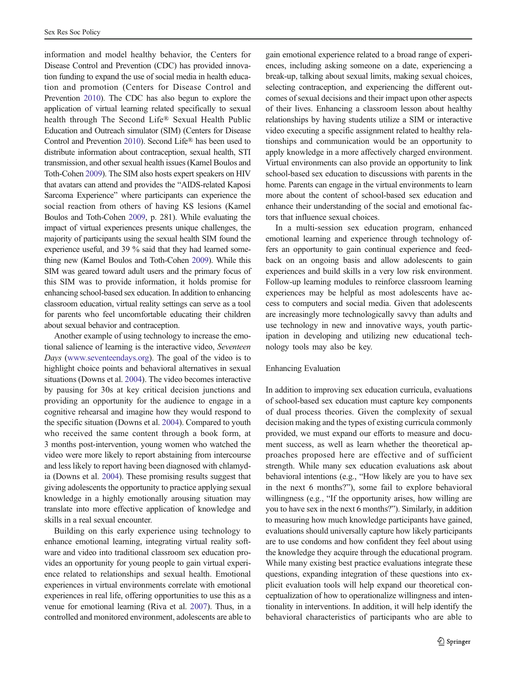information and model healthy behavior, the Centers for Disease Control and Prevention (CDC) has provided innovation funding to expand the use of social media in health education and promotion (Centers for Disease Control and Prevention [2010\)](#page-12-0). The CDC has also begun to explore the application of virtual learning related specifically to sexual health through The Second Life® Sexual Health Public Education and Outreach simulator (SIM) (Centers for Disease Control and Prevention [2010\)](#page-12-0). Second Life® has been used to distribute information about contraception, sexual health, STI transmission, and other sexual health issues (Kamel Boulos and Toth-Cohen [2009\)](#page-13-0). The SIM also hosts expert speakers on HIV that avatars can attend and provides the "AIDS-related Kaposi Sarcoma Experience" where participants can experience the social reaction from others of having KS lesions (Kamel Boulos and Toth-Cohen [2009](#page-13-0), p. 281). While evaluating the impact of virtual experiences presents unique challenges, the majority of participants using the sexual health SIM found the experience useful, and 39 % said that they had learned something new (Kamel Boulos and Toth-Cohen [2009](#page-13-0)). While this SIM was geared toward adult users and the primary focus of this SIM was to provide information, it holds promise for enhancing school-based sex education. In addition to enhancing classroom education, virtual reality settings can serve as a tool for parents who feel uncomfortable educating their children about sexual behavior and contraception.

Another example of using technology to increase the emotional salience of learning is the interactive video, Seventeen Days ([www.seventeendays.org\)](http://www.seventeendays.org/). The goal of the video is to highlight choice points and behavioral alternatives in sexual situations (Downs et al. [2004](#page-13-0)). The video becomes interactive by pausing for 30s at key critical decision junctions and providing an opportunity for the audience to engage in a cognitive rehearsal and imagine how they would respond to the specific situation (Downs et al. [2004](#page-13-0)). Compared to youth who received the same content through a book form, at 3 months post-intervention, young women who watched the video were more likely to report abstaining from intercourse and less likely to report having been diagnosed with chlamydia (Downs et al. [2004](#page-13-0)). These promising results suggest that giving adolescents the opportunity to practice applying sexual knowledge in a highly emotionally arousing situation may translate into more effective application of knowledge and skills in a real sexual encounter.

Building on this early experience using technology to enhance emotional learning, integrating virtual reality software and video into traditional classroom sex education provides an opportunity for young people to gain virtual experience related to relationships and sexual health. Emotional experiences in virtual environments correlate with emotional experiences in real life, offering opportunities to use this as a venue for emotional learning (Riva et al. [2007\)](#page-14-0). Thus, in a controlled and monitored environment, adolescents are able to gain emotional experience related to a broad range of experiences, including asking someone on a date, experiencing a break-up, talking about sexual limits, making sexual choices, selecting contraception, and experiencing the different outcomes of sexual decisions and their impact upon other aspects of their lives. Enhancing a classroom lesson about healthy relationships by having students utilize a SIM or interactive video executing a specific assignment related to healthy relationships and communication would be an opportunity to apply knowledge in a more affectively charged environment. Virtual environments can also provide an opportunity to link school-based sex education to discussions with parents in the home. Parents can engage in the virtual environments to learn more about the content of school-based sex education and enhance their understanding of the social and emotional factors that influence sexual choices.

In a multi-session sex education program, enhanced emotional learning and experience through technology offers an opportunity to gain continual experience and feedback on an ongoing basis and allow adolescents to gain experiences and build skills in a very low risk environment. Follow-up learning modules to reinforce classroom learning experiences may be helpful as most adolescents have access to computers and social media. Given that adolescents are increasingly more technologically savvy than adults and use technology in new and innovative ways, youth participation in developing and utilizing new educational technology tools may also be key.

## Enhancing Evaluation

In addition to improving sex education curricula, evaluations of school-based sex education must capture key components of dual process theories. Given the complexity of sexual decision making and the types of existing curricula commonly provided, we must expand our efforts to measure and document success, as well as learn whether the theoretical approaches proposed here are effective and of sufficient strength. While many sex education evaluations ask about behavioral intentions (e.g., "How likely are you to have sex in the next 6 months?"), some fail to explore behavioral willingness (e.g., "If the opportunity arises, how willing are you to have sex in the next 6 months?"). Similarly, in addition to measuring how much knowledge participants have gained, evaluations should universally capture how likely participants are to use condoms and how confident they feel about using the knowledge they acquire through the educational program. While many existing best practice evaluations integrate these questions, expanding integration of these questions into explicit evaluation tools will help expand our theoretical conceptualization of how to operationalize willingness and intentionality in interventions. In addition, it will help identify the behavioral characteristics of participants who are able to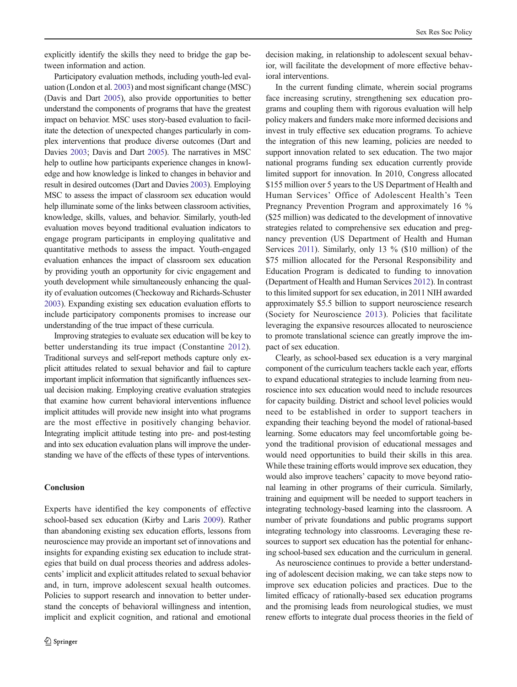explicitly identify the skills they need to bridge the gap between information and action.

Participatory evaluation methods, including youth-led evaluation (London et al. [2003\)](#page-14-0) and most significant change (MSC) (Davis and Dart [2005](#page-13-0)), also provide opportunities to better understand the components of programs that have the greatest impact on behavior. MSC uses story-based evaluation to facilitate the detection of unexpected changes particularly in complex interventions that produce diverse outcomes (Dart and Davies [2003](#page-13-0); Davis and Dart [2005](#page-13-0)). The narratives in MSC help to outline how participants experience changes in knowledge and how knowledge is linked to changes in behavior and result in desired outcomes (Dart and Davies [2003\)](#page-13-0). Employing MSC to assess the impact of classroom sex education would help illuminate some of the links between classroom activities, knowledge, skills, values, and behavior. Similarly, youth-led evaluation moves beyond traditional evaluation indicators to engage program participants in employing qualitative and quantitative methods to assess the impact. Youth-engaged evaluation enhances the impact of classroom sex education by providing youth an opportunity for civic engagement and youth development while simultaneously enhancing the quality of evaluation outcomes (Checkoway and Richards-Schuster [2003](#page-12-0)). Expanding existing sex education evaluation efforts to include participatory components promises to increase our understanding of the true impact of these curricula.

Improving strategies to evaluate sex education will be key to better understanding its true impact (Constantine [2012](#page-13-0)). Traditional surveys and self-report methods capture only explicit attitudes related to sexual behavior and fail to capture important implicit information that significantly influences sexual decision making. Employing creative evaluation strategies that examine how current behavioral interventions influence implicit attitudes will provide new insight into what programs are the most effective in positively changing behavior. Integrating implicit attitude testing into pre- and post-testing and into sex education evaluation plans will improve the understanding we have of the effects of these types of interventions.

#### Conclusion

Experts have identified the key components of effective school-based sex education (Kirby and Laris [2009\)](#page-13-0). Rather than abandoning existing sex education efforts, lessons from neuroscience may provide an important set of innovations and insights for expanding existing sex education to include strategies that build on dual process theories and address adolescents' implicit and explicit attitudes related to sexual behavior and, in turn, improve adolescent sexual health outcomes. Policies to support research and innovation to better understand the concepts of behavioral willingness and intention, implicit and explicit cognition, and rational and emotional

decision making, in relationship to adolescent sexual behavior, will facilitate the development of more effective behavioral interventions.

In the current funding climate, wherein social programs face increasing scrutiny, strengthening sex education programs and coupling them with rigorous evaluation will help policy makers and funders make more informed decisions and invest in truly effective sex education programs. To achieve the integration of this new learning, policies are needed to support innovation related to sex education. The two major national programs funding sex education currently provide limited support for innovation. In 2010, Congress allocated \$155 million over 5 years to the US Department of Health and Human Services' Office of Adolescent Health's Teen Pregnancy Prevention Program and approximately 16 % (\$25 million) was dedicated to the development of innovative strategies related to comprehensive sex education and pregnancy prevention (US Department of Health and Human Services [2011\)](#page-14-0). Similarly, only 13 % (\$10 million) of the \$75 million allocated for the Personal Responsibility and Education Program is dedicated to funding to innovation (Department of Health and Human Services [2012](#page-13-0)). In contrast to this limited support for sex education, in 2011 NIH awarded approximately \$5.5 billion to support neuroscience research (Society for Neuroscience [2013\)](#page-14-0). Policies that facilitate leveraging the expansive resources allocated to neuroscience to promote translational science can greatly improve the impact of sex education.

Clearly, as school-based sex education is a very marginal component of the curriculum teachers tackle each year, efforts to expand educational strategies to include learning from neuroscience into sex education would need to include resources for capacity building. District and school level policies would need to be established in order to support teachers in expanding their teaching beyond the model of rational-based learning. Some educators may feel uncomfortable going beyond the traditional provision of educational messages and would need opportunities to build their skills in this area. While these training efforts would improve sex education, they would also improve teachers' capacity to move beyond rational learning in other programs of their curricula. Similarly, training and equipment will be needed to support teachers in integrating technology-based learning into the classroom. A number of private foundations and public programs support integrating technology into classrooms. Leveraging these resources to support sex education has the potential for enhancing school-based sex education and the curriculum in general.

As neuroscience continues to provide a better understanding of adolescent decision making, we can take steps now to improve sex education policies and practices. Due to the limited efficacy of rationally-based sex education programs and the promising leads from neurological studies, we must renew efforts to integrate dual process theories in the field of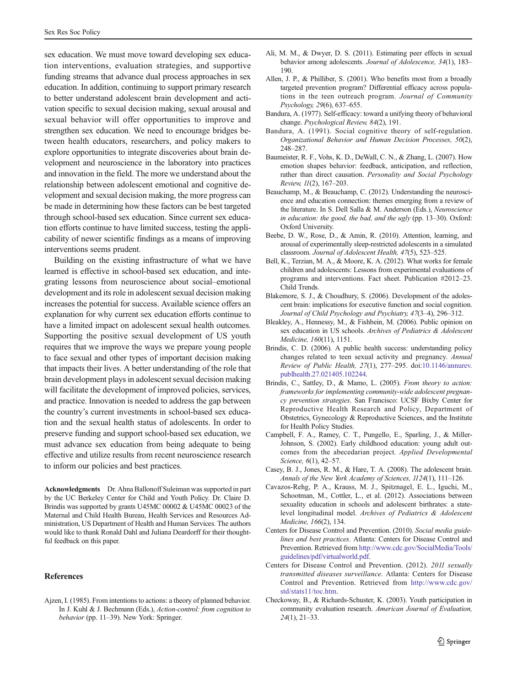<span id="page-12-0"></span>sex education. We must move toward developing sex education interventions, evaluation strategies, and supportive funding streams that advance dual process approaches in sex education. In addition, continuing to support primary research to better understand adolescent brain development and activation specific to sexual decision making, sexual arousal and sexual behavior will offer opportunities to improve and strengthen sex education. We need to encourage bridges between health educators, researchers, and policy makers to explore opportunities to integrate discoveries about brain development and neuroscience in the laboratory into practices and innovation in the field. The more we understand about the relationship between adolescent emotional and cognitive development and sexual decision making, the more progress can be made in determining how these factors can be best targeted through school-based sex education. Since current sex education efforts continue to have limited success, testing the applicability of newer scientific findings as a means of improving interventions seems prudent.

Building on the existing infrastructure of what we have learned is effective in school-based sex education, and integrating lessons from neuroscience about social–emotional development and its role in adolescent sexual decision making increases the potential for success. Available science offers an explanation for why current sex education efforts continue to have a limited impact on adolescent sexual health outcomes. Supporting the positive sexual development of US youth requires that we improve the ways we prepare young people to face sexual and other types of important decision making that impacts their lives. A better understanding of the role that brain development plays in adolescent sexual decision making will facilitate the development of improved policies, services, and practice. Innovation is needed to address the gap between the country's current investments in school-based sex education and the sexual health status of adolescents. In order to preserve funding and support school-based sex education, we must advance sex education from being adequate to being effective and utilize results from recent neuroscience research to inform our policies and best practices.

Acknowledgments Dr. Ahna Ballonoff Suleiman was supported in part by the UC Berkeley Center for Child and Youth Policy. Dr. Claire D. Brindis was supported by grants U45MC 00002 & U45MC 00023 of the Maternal and Child Health Bureau, Health Services and Resources Administration, US Department of Health and Human Services. The authors would like to thank Ronald Dahl and Juliana Deardorff for their thoughtful feedback on this paper.

#### References

Ajzen, I. (1985). From intentions to actions: a theory of planned behavior. In J. Kuhl & J. Bechmann (Eds.), Action-control: from cognition to behavior (pp. 11–39). New York: Springer.

- Ali, M. M., & Dwyer, D. S. (2011). Estimating peer effects in sexual behavior among adolescents. Journal of Adolescence, 34(1), 183-190.
- Allen, J. P., & Philliber, S. (2001). Who benefits most from a broadly targeted prevention program? Differential efficacy across populations in the teen outreach program. Journal of Community Psychology, 29(6), 637–655.
- Bandura, A. (1977). Self-efficacy: toward a unifying theory of behavioral change. Psychological Review, 84(2), 191.
- Bandura, A. (1991). Social cognitive theory of self-regulation. Organizational Behavior and Human Decision Processes, 50(2), 248–287.
- Baumeister, R. F., Vohs, K. D., DeWall, C. N., & Zhang, L. (2007). How emotion shapes behavior: feedback, anticipation, and reflection, rather than direct causation. Personality and Social Psychology Review, 11(2), 167–203.
- Beauchamp, M., & Beauchamp, C. (2012). Understanding the neuroscience and education connection: themes emerging from a review of the literature. In S. Dell Salla & M. Anderson (Eds.), Neuroscience in education: the good, the bad, and the ugly (pp. 13–30). Oxford: Oxford University.
- Beebe, D. W., Rose, D., & Amin, R. (2010). Attention, learning, and arousal of experimentally sleep-restricted adolescents in a simulated classroom. Journal of Adolescent Health, 47(5), 523–525.
- Bell, K., Terzian, M. A., & Moore, K. A. (2012). What works for female children and adolescents: Lessons from experimental evaluations of programs and interventions. Fact sheet. Publication #2012–23. Child Trends.
- Blakemore, S. J., & Choudhury, S. (2006). Development of the adolescent brain: implications for executive function and social cognition. Journal of Child Psychology and Psychiatry, 47(3–4), 296–312.
- Bleakley, A., Hennessy, M., & Fishbein, M. (2006). Public opinion on sex education in US schools. Archives of Pediatrics & Adolescent Medicine, 160(11), 1151.
- Brindis, C. D. (2006). A public health success: understanding policy changes related to teen sexual activity and pregnancy. Annual Review of Public Health, 27(1), 277–295. doi[:10.1146/annurev.](http://dx.doi.org/10.1146/annurev.publhealth.27.021405.102244) [publhealth.27.021405.102244.](http://dx.doi.org/10.1146/annurev.publhealth.27.021405.102244)
- Brindis, C., Sattley, D., & Mamo, L. (2005). From theory to action: frameworks for implementing community-wide adolescent pregnancy prevention strategies. San Francisco: UCSF Bixby Center for Reproductive Health Research and Policy, Department of Obstetrics, Gynecology & Reproductive Sciences, and the Institute for Health Policy Studies.
- Campbell, F. A., Ramey, C. T., Pungello, E., Sparling, J., & Miller-Johnson, S. (2002). Early childhood education: young adult outcomes from the abecedarian project. Applied Developmental Science, 6(1), 42–57.
- Casey, B. J., Jones, R. M., & Hare, T. A. (2008). The adolescent brain. Annals of the New York Academy of Sciences, 1124(1), 111–126.
- Cavazos-Rehg, P. A., Krauss, M. J., Spitznagel, E. L., Iguchi, M., Schootman, M., Cottler, L., et al. (2012). Associations between sexuality education in schools and adolescent birthrates: a statelevel longitudinal model. Archives of Pediatrics & Adolescent Medicine, 166(2), 134.
- Centers for Disease Control and Prevention. (2010). Social media guidelines and best practices. Atlanta: Centers for Disease Control and Prevention. Retrieved from [http://www.cdc.gov/SocialMedia/Tools/](http://www.cdc.gov/SocialMedia/Tools/guidelines/pdf/virtualworld.pdf) [guidelines/pdf/virtualworld.pdf.](http://www.cdc.gov/SocialMedia/Tools/guidelines/pdf/virtualworld.pdf)
- Centers for Disease Control and Prevention. (2012). 2011 sexually transmitted diseases surveillance. Atlanta: Centers for Disease Control and Prevention. Retrieved from [http://www.cdc.gov/](http://www.cdc.gov/std/stats11/toc.htm) [std/stats11/toc.htm.](http://www.cdc.gov/std/stats11/toc.htm)
- Checkoway, B., & Richards-Schuster, K. (2003). Youth participation in community evaluation research. American Journal of Evaluation, 24(1), 21–33.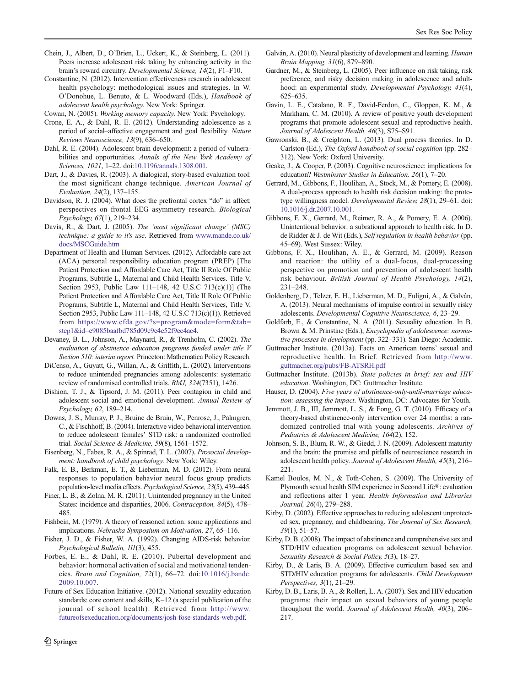- <span id="page-13-0"></span>Chein, J., Albert, D., O'Brien, L., Uckert, K., & Steinberg, L. (2011). Peers increase adolescent risk taking by enhancing activity in the brain's reward circuitry. Developmental Science, 14(2), F1–F10.
- Constantine, N. (2012). Intervention effectiveness research in adolescent health psychology: methodological issues and strategies. In W. O'Donohue, L. Benuto, & L. Woodward (Eds.), Handbook of adolescent health psychology. New York: Springer.

Cowan, N. (2005). Working memory capacity. New York: Psychology.

- Crone, E. A., & Dahl, R. E. (2012). Understanding adolescence as a period of social–affective engagement and goal flexibility. Nature Reviews Neuroscience, 13(9), 636–650.
- Dahl, R. E. (2004). Adolescent brain development: a period of vulnerabilities and opportunities. Annals of the New York Academy of Sciences, 1021, 1–22. doi:[10.1196/annals.1308.001](http://dx.doi.org/10.1196/annals.1308.001).
- Dart, J., & Davies, R. (2003). A dialogical, story-based evaluation tool: the most significant change technique. American Journal of Evaluation, 24(2), 137–155.
- Davidson, R. J. (2004). What does the prefrontal cortex "do" in affect: perspectives on frontal EEG asymmetry research. Biological Psychology, 67(1), 219–234.
- Davis, R., & Dart, J. (2005). The 'most significant change' (MSC) technique: a guide to it's use. Retrieved from [www.mande.co.uk/](http://www.mande.co.uk/docs/MSCGuide.htm) [docs/MSCGuide.htm](http://www.mande.co.uk/docs/MSCGuide.htm)
- Department of Health and Human Services. (2012). Affordable care act (ACA) personal responsibility education program (PREP) [The Patient Protection and Affordable Care Act, Title II Role Of Public Programs, Subtitle L, Maternal and Child Health Services. Title V, Section 2953, Public Law 111–148, 42 U.S.C 713(c)(1)] (The Patient Protection and Affordable Care Act, Title II Role Of Public Programs, Subtitle L, Maternal and Child Health Services, Title V, Section 2953, Public Law 111–148, 42 U.S.C 713(c)(1)). Retrieved from [https://www.cfda.gov/?s=program&mode=form&tab=](https://www.cfda.gov/?s=program&mode=form&tab=step1&id=e9085baafbd785d09c9e4e52f9ec4ac4) [step1&id=e9085baafbd785d09c9e4e52f9ec4ac4.](https://www.cfda.gov/?s=program&mode=form&tab=step1&id=e9085baafbd785d09c9e4e52f9ec4ac4)
- Devaney, B. L., Johnson, A., Maynard, R., & Trenholm, C. (2002). The evaluation of abstinence education programs funded under title V Section 510: interim report. Princeton: Mathematica Policy Research.
- DiCenso, A., Guyatt, G., Willan, A., & Griffith, L. (2002). Interventions to reduce unintended pregnancies among adolescents: systematic review of randomised controlled trials. BMJ, 324(7351), 1426.
- Dishion, T. J., & Tipsord, J. M. (2011). Peer contagion in child and adolescent social and emotional development. Annual Review of Psychology, 62, 189–214.
- Downs, J. S., Murray, P. J., Bruine de Bruin, W., Penrose, J., Palmgren, C., & Fischhoff, B. (2004). Interactive video behavioral intervention to reduce adolescent females' STD risk: a randomized controlled trial. Social Science & Medicine, 59(8), 1561–1572.
- Eisenberg, N., Fabes, R. A., & Spinrad, T. L. (2007). Prosocial development: handbook of child psychology. New York: Wiley.
- Falk, E. B., Berkman, E. T., & Lieberman, M. D. (2012). From neural responses to population behavior neural focus group predicts population-level media effects. Psychological Science, 23(5), 439–445.
- Finer, L. B., & Zolna, M. R. (2011). Unintended pregnancy in the United States: incidence and disparities, 2006. Contraception, 84(5), 478– 485.
- Fishbein, M. (1979). A theory of reasoned action: some applications and implications. Nebraska Symposium on Motivation, 27, 65–116.
- Fisher, J. D., & Fisher, W. A. (1992). Changing AIDS-risk behavior. Psychological Bulletin, 111(3), 455.
- Forbes, E. E., & Dahl, R. E. (2010). Pubertal development and behavior: hormonal activation of social and motivational tendencies. Brain and Cognition, 72(1), 66–72. doi[:10.1016/j.bandc.](http://dx.doi.org/10.1016/j.bandc.2009.10.007) [2009.10.007](http://dx.doi.org/10.1016/j.bandc.2009.10.007).
- Future of Sex Education Initiative. (2012). National sexuality education standards: core content and skills, K–12 (a special publication of the journal of school health). Retrieved from [http://www.](http://www.futureofsexeducation.org/documents/josh-fose-standards-web.pdf) [futureofsexeducation.org/documents/josh-fose-standards-web.pdf.](http://www.futureofsexeducation.org/documents/josh-fose-standards-web.pdf)
- Galván, A. (2010). Neural plasticity of development and learning. Human Brain Mapping, 31(6), 879–890.
- Gardner, M., & Steinberg, L. (2005). Peer influence on risk taking, risk preference, and risky decision making in adolescence and adulthood: an experimental study. Developmental Psychology, 41(4), 625–635.
- Gavin, L. E., Catalano, R. F., David-Ferdon, C., Gloppen, K. M., & Markham, C. M. (2010). A review of positive youth development programs that promote adolescent sexual and reproductive health. Journal of Adolescent Health, 46(3), S75–S91.
- Gawronski, B., & Creighton, L. (2013). Dual process theories. In D. Carlston (Ed.), The Oxford handbook of social cognition (pp. 282– 312). New York: Oxford University.
- Geake, J., & Cooper, P. (2003). Cognitive neuroscience: implications for education? Westminster Studies in Education, 26(1), 7–20.
- Gerrard, M., Gibbons, F., Houlihan, A., Stock, M., & Pomery, E. (2008). A dual-process approach to health risk decision making: the prototype willingness model. Developmental Review, 28(1), 29–61. doi: [10.1016/j.dr.2007.10.001.](http://dx.doi.org/10.1016/j.dr.2007.10.001)
- Gibbons, F. X., Gerrard, M., Reimer, R. A., & Pomery, E. A. (2006). Unintentional behavior: a subrational approach to health risk. In D. de Ridder & J. de Wit (Eds.), Self regulation in health behavior (pp. 45–69). West Sussex: Wiley.
- Gibbons, F. X., Houlihan, A. E., & Gerrard, M. (2009). Reason and reaction: the utility of a dual-focus, dual-processing perspective on promotion and prevention of adolescent health risk behaviour. British Journal of Health Psychology, 14(2), 231–248.
- Goldenberg, D., Telzer, E. H., Lieberman, M. D., Fuligni, A., & Galván, A. (2013). Neural mechanisms of impulse control in sexually risky adolescents. Developmental Cognitive Neuroscience, 6, 23–29.
- Goldfarb, E., & Constantine, N. A. (2011). Sexuality education. In B. Brown & M. Prinstine (Eds.), Encyclopedia of adolescence: normative processes in development (pp. 322–331). San Diego: Academic.
- Guttmacher Institute. (2013a). Facts on American teens' sexual and reproductive health. In Brief. Retrieved from [http://www.](http://www.guttmacher.org/pubs/FB-ATSR<WordBreak>H.pdf) [guttmacher.org/pubs/FB-ATSRH.pdf](http://www.guttmacher.org/pubs/FB-ATSR<WordBreak>H.pdf)
- Guttmacher Institute. (2013b). State policies in brief: sex and HIV education. Washington, DC: Guttmacher Institute.
- Hauser, D. (2004). Five years of abstinence-only-until-marriage education: assessing the impact. Washington, DC: Advocates for Youth.
- Jemmott, J. B., III, Jemmott, L. S., & Fong, G. T. (2010). Efficacy of a theory-based abstinence-only intervention over 24 months: a randomized controlled trial with young adolescents. Archives of Pediatrics & Adolescent Medicine, 164(2), 152.
- Johnson, S. B., Blum, R. W., & Giedd, J. N. (2009). Adolescent maturity and the brain: the promise and pitfalls of neuroscience research in adolescent health policy. Journal of Adolescent Health, 45(3), 216– 221.
- Kamel Boulos, M. N., & Toth-Cohen, S. (2009). The University of Plymouth sexual health SIM experience in Second Life®: evaluation and reflections after 1 year. Health Information and Libraries Journal, 26(4), 279–288.
- Kirby, D. (2002). Effective approaches to reducing adolescent unprotected sex, pregnancy, and childbearing. The Journal of Sex Research, 39(1), 51–57.
- Kirby, D. B. (2008). The impact of abstinence and comprehensive sex and STD/HIV education programs on adolescent sexual behavior. Sexuality Research & Social Policy, 5(3), 18–27.
- Kirby, D., & Laris, B. A. (2009). Effective curriculum based sex and STD/HIV education programs for adolescents. Child Development Perspectives, 3(1), 21–29.
- Kirby, D. B., Laris, B. A., & Rolleri, L. A. (2007). Sex and HIVeducation programs: their impact on sexual behaviors of young people throughout the world. Journal of Adolescent Health, 40(3), 206-217.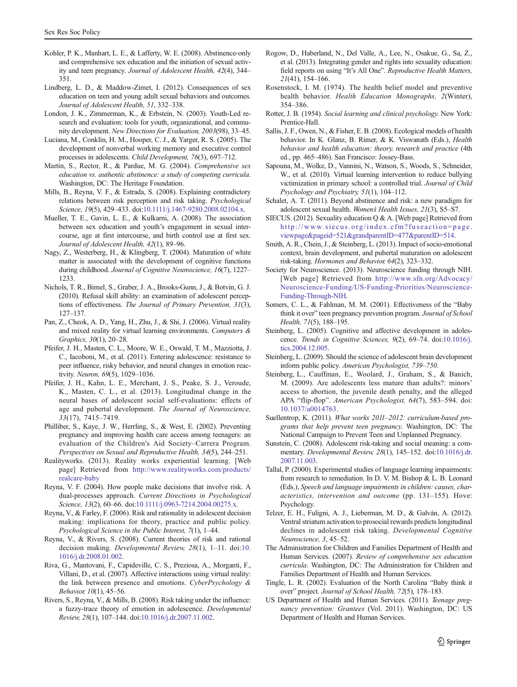- <span id="page-14-0"></span>Kohler, P. K., Manhart, L. E., & Lafferty, W. E. (2008). Abstinence-only and comprehensive sex education and the initiation of sexual activity and teen pregnancy. Journal of Adolescent Health, 42(4), 344– 351.
- Lindberg, L. D., & Maddow-Zimet, I. (2012). Consequences of sex education on teen and young adult sexual behaviors and outcomes. Journal of Adolescent Health, 51, 332–338.
- London, J. K., Zimmerman, K., & Erbstein, N. (2003). Youth-Led research and evaluation: tools for youth, organizational, and community development. New Directions for Evaluation, 2003(98), 33–45.
- Luciana, M., Conklin, H. M., Hooper, C. J., & Yarger, R. S. (2005). The development of nonverbal working memory and executive control processes in adolescents. Child Development, 76(3), 697–712.
- Martin, S., Rector, R., & Pardue, M. G. (2004). Comprehensive sex education vs. authentic abstinence: a study of competing curricula. Washington, DC: The Heritage Foundation.
- Mills, B., Reyna, V. F., & Estrada, S. (2008). Explaining contradictory relations between risk perception and risk taking. Psychological Science, 19(5), 429-433. doi[:10.1111/j.1467-9280.2008.02104.x.](http://dx.doi.org/10.1111/j.1467-9280.2008.02104.x)
- Mueller, T. E., Gavin, L. E., & Kulkarni, A. (2008). The association between sex education and youth's engagement in sexual intercourse, age at first intercourse, and birth control use at first sex. Journal of Adolescent Health, 42(1), 89–96.
- Nagy, Z., Westerberg, H., & Klingberg, T. (2004). Maturation of white matter is associated with the development of cognitive functions during childhood. Journal of Cognitive Neuroscience, 16(7), 1227– 1233.
- Nichols, T. R., Birnel, S., Graber, J. A., Brooks-Gunn, J., & Botvin, G. J. (2010). Refusal skill ability: an examination of adolescent perceptions of effectiveness. The Journal of Primary Prevention, 31(3), 127–137.
- Pan, Z., Cheok, A. D., Yang, H., Zhu, J., & Shi, J. (2006). Virtual reality and mixed reality for virtual learning environments. Computers & Graphics, 30(1), 20–28.
- Pfeifer, J. H., Masten, C. L., Moore, W. E., Oswald, T. M., Mazziotta, J. C., Iacoboni, M., et al. (2011). Entering adolescence: resistance to peer influence, risky behavior, and neural changes in emotion reactivity. Neuron, 69(5), 1029–1036.
- Pfeifer, J. H., Kahn, L. E., Merchant, J. S., Peake, S. J., Veroude, K., Masten, C. L., et al. (2013). Longitudinal change in the neural bases of adolescent social self-evaluations: effects of age and pubertal development. The Journal of Neuroscience, 33(17), 7415–7419.
- Philliber, S., Kaye, J. W., Herrling, S., & West, E. (2002). Preventing pregnancy and improving health care access among teenagers: an evaluation of the Children's Aid Society–Carrera Program. Perspectives on Sexual and Reproductive Health, 34(5), 244–251.
- Realityworks. (2013). Reality works experiential learning. [Web page] Retrieved from [http://www.realityworks.com/products/](http://www.realityworks.com/products/realcare-baby) [realcare-baby](http://www.realityworks.com/products/realcare-baby)
- Reyna, V. F. (2004). How people make decisions that involve risk. A dual-processes approach. Current Directions in Psychological Science, 13(2), 60-66. doi:[10.1111/j.0963-7214.2004.00275.x](http://dx.doi.org/10.1111/j.0963-7214.2004.00275.x).
- Reyna, V., & Farley, F. (2006). Risk and rationality in adolescent decision making: implications for theory, practice and public policy. Psychological Science in the Public Interest, 7(1), 1–44.
- Reyna, V., & Rivers, S. (2008). Current theories of risk and rational decision making. Developmental Review, 28(1), 1–11. doi[:10.](http://dx.doi.org/10.1016/j.dr.2008.01.002) [1016/j.dr.2008.01.002](http://dx.doi.org/10.1016/j.dr.2008.01.002).
- Riva, G., Mantovani, F., Capideville, C. S., Preziosa, A., Morganti, F., Villani, D., et al. (2007). Affective interactions using virtual reality: the link between presence and emotions. CyberPsychology & Behavior, 10(1), 45–56.
- Rivers, S., Reyna, V., & Mills, B. (2008). Risk taking under the influence: a fuzzy-trace theory of emotion in adolescence. Developmental Review, 28(1), 107–144. doi[:10.1016/j.dr.2007.11.002](http://dx.doi.org/10.1016/j.dr.2007.11.002).
- Rogow, D., Haberland, N., Del Valle, A., Lee, N., Osakue, G., Sa, Z., et al. (2013). Integrating gender and rights into sexuality education: field reports on using "It's All One". Reproductive Health Matters, 21(41), 154–166.
- Rosenstock, I. M. (1974). The health belief model and preventive health behavior. Health Education Monographs, 2(Winter), 354–386.
- Rotter, J. B. (1954). Social learning and clinical psychology. New York: Prentice-Hall.
- Sallis, J. F., Owen, N., & Fisher, E. B. (2008). Ecological models of health behavior. In K. Glanz, B. Rimer, & K. Viswanath (Eds.), Health behavior and health education: theory, research and practice (4th ed., pp. 465–486). San Francisco: Jossey-Bass.
- Sapouna, M., Wolke, D., Vannini, N., Watson, S., Woods, S., Schneider, W., et al. (2010). Virtual learning intervention to reduce bullying victimization in primary school: a controlled trial. Journal of Child Psychology and Psychiatry, 51(1), 104–112.
- Schalet, A. T. (2011). Beyond abstinence and risk: a new paradigm for adolescent sexual health. Women's Health Issues, 21(3), S5–S7.
- SIECUS. (2012). Sexuality education Q & A. [Web page] Retrieved from [http://www.siecus.org/index.cfm?fuseaction=page.](http://www.siecus.org/index.cfm?fuseaction=page.viewpage&pageid=521&grandparentID=477&parentID=514) [viewpage&pageid=521&grandparentID=477&parentID=514](http://www.siecus.org/index.cfm?fuseaction=page.viewpage&pageid=521&grandparentID=477&parentID=514).
- Smith, A. R., Chein, J., & Steinberg, L. (2013). Impact of socio-emotional context, brain development, and pubertal maturation on adolescent risk-taking. Hormones and Behavior, 64(2), 323–332.
- Society for Neuroscience. (2013). Neuroscience funding through NIH. [Web page] Retrieved from [http://www.sfn.org/Advocacy/](http://www.sfn.org/Advocacy/Neuroscience-Funding/US-Funding-Priorities/Neuroscience-Funding-Through-NIH) [Neuroscience-Funding/US-Funding-Priorities/Neuroscience-](http://www.sfn.org/Advocacy/Neuroscience-Funding/US-Funding-Priorities/Neuroscience-Funding-Through-NIH)[Funding-Through-NIH.](http://www.sfn.org/Advocacy/Neuroscience-Funding/US-Funding-Priorities/Neuroscience-Funding-Through-NIH)
- Somers, C. L., & Fahlman, M. M. (2001). Effectiveness of the "Baby think it over" teen pregnancy prevention program. Journal of School Health, 71(5), 188–195.
- Steinberg, L. (2005). Cognitive and affective development in adoles-cence. Trends in Cognitive Sciences, 9(2), 69-74. doi:[10.1016/j.](http://dx.doi.org/10.1016/j.tics.2004.12.005) [tics.2004.12.005.](http://dx.doi.org/10.1016/j.tics.2004.12.005)
- Steinberg, L. (2009). Should the science of adolescent brain development inform public policy. American Psychologist, 739–750.
- Steinberg, L., Cauffman, E., Woolard, J., Graham, S., & Banich, M. (2009). Are adolescents less mature than adults?: minors' access to abortion, the juvenile death penalty, and the alleged APA "flip-flop". American Psychologist, 64(7), 583–594. doi: [10.1037/a0014763.](http://dx.doi.org/10.1037/a0014763)
- Suellentrop, K. (2011). What works 2011–2012: curriculum-based programs that help prevent teen pregnancy. Washington, DC: The National Campaign to Prevent Teen and Unplanned Pregnancy.
- Sunstein, C. (2008). Adolescent risk-taking and social meaning: a commentary. Developmental Review, 28(1), 145–152. doi:[10.1016/j.dr.](http://dx.doi.org/10.1016/j.dr.2007.11.003) [2007.11.003](http://dx.doi.org/10.1016/j.dr.2007.11.003).
- Tallal, P. (2000). Experimental studies of language learning impairments: from research to remediation. In D. V. M. Bishop & L. B. Leonard (Eds.), Speech and language impairments in children: causes, characteristics, intervention and outcome (pp. 131–155). Hove: Psychology.
- Telzer, E. H., Fuligni, A. J., Lieberman, M. D., & Galván, A. (2012). Ventral striatum activation to prosocial rewards predicts longitudinal declines in adolescent risk taking. Developmental Cognitive Neuroscience, 3, 45–52.
- The Administration for Children and Families Department of Health and Human Services. (2007). Review of comprehensive sex education curricula. Washington, DC: The Administration for Children and Families Department of Health and Human Services.
- Tingle, L. R. (2002). Evaluation of the North Carolina "Baby think it over" project. Journal of School Health, 72(5), 178-183.
- US Department of Health and Human Services. (2011). Teenage pregnancy prevention: Grantees (Vol. 2011). Washington, DC: US Department of Health and Human Services.